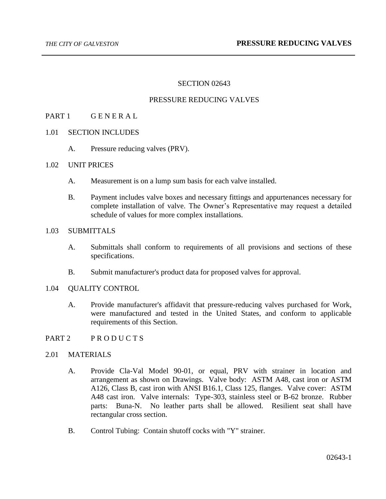## SECTION 02643

## PRESSURE REDUCING VALVES

## PART 1 GENERAL

- 1.01 SECTION INCLUDES
	- A. Pressure reducing valves (PRV).

## 1.02 UNIT PRICES

- A. Measurement is on a lump sum basis for each valve installed.
- B. Payment includes valve boxes and necessary fittings and appurtenances necessary for complete installation of valve. The Owner's Representative may request a detailed schedule of values for more complex installations.

## 1.03 SUBMITTALS

- A. Submittals shall conform to requirements of all provisions and sections of these specifications.
- B. Submit manufacturer's product data for proposed valves for approval.

## 1.04 QUALITY CONTROL

A. Provide manufacturer's affidavit that pressure-reducing valves purchased for Work, were manufactured and tested in the United States, and conform to applicable requirements of this Section.

## PART 2 PRODUCTS

#### 2.01 MATERIALS

- A. Provide Cla-Val Model 90-01, or equal, PRV with strainer in location and arrangement as shown on Drawings. Valve body: ASTM A48, cast iron or ASTM A126, Class B, cast iron with ANSI B16.1, Class 125, flanges. Valve cover: ASTM A48 cast iron. Valve internals: Type-303, stainless steel or B-62 bronze. Rubber parts: Buna-N. No leather parts shall be allowed. Resilient seat shall have rectangular cross section.
- B. Control Tubing: Contain shutoff cocks with "Y" strainer.